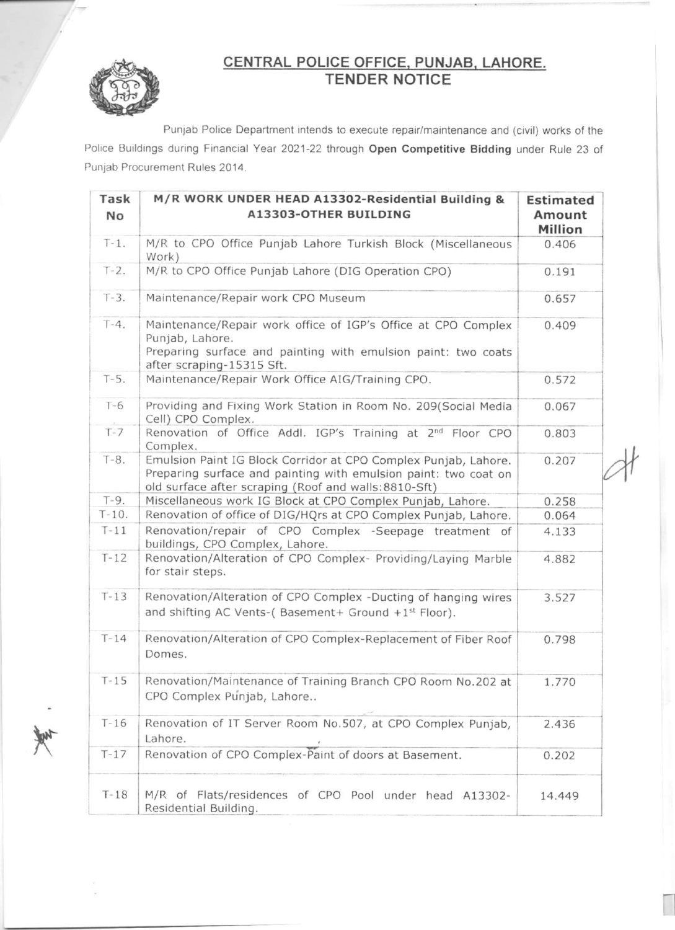

# CENTRAL POLICE OFFICE, PUNJAB, LAHORE.<br>TENDER NOTICE

Punjab Police Department intends to execute repair/maintenance and (civil) works of the Police Buildings during Financial Year 2021-22 through Open Competitive Bidding under Rule 23 of Punjab Procurement Rules 2014.

| Task<br>No | M/R WORK UNDER HEAD A13302-Residential Building &<br>A13303-OTHER BUILDING                                                                                                                 | <b>Estimated</b><br>Amount<br>Million |
|------------|--------------------------------------------------------------------------------------------------------------------------------------------------------------------------------------------|---------------------------------------|
| $T-1$ .    | M/R to CPO Office Punjab Lahore Turkish Block (Miscellaneous<br>Work)                                                                                                                      | 0.406                                 |
| $T-2$ .    | M/R to CPO Office Punjab Lahore (DIG Operation CPO)                                                                                                                                        | 0.191                                 |
| $T-3$ .    | Maintenance/Repair work CPO Museum                                                                                                                                                         | 0.657                                 |
| $T-4.$     | Maintenance/Repair work office of IGP's Office at CPO Complex<br>Punjab, Lahore.<br>Preparing surface and painting with emulsion paint: two coats<br>after scraping-15315 Sft.             | 0.409                                 |
| $T-5.$     | Maintenance/Repair Work Office AIG/Training CPO.                                                                                                                                           | 0.572                                 |
| $T-6$      | Providing and Fixing Work Station in Room No. 209(Social Media<br>Cell) CPO Complex.                                                                                                       | 0.067                                 |
| $T - 7$    | Renovation of Office Addl. IGP's Training at 2 <sup>nd</sup> Floor CPO<br>Complex.                                                                                                         | 0.803                                 |
| $T-8.$     | Emulsion Paint IG Block Corridor at CPO Complex Punjab, Lahore.<br>Preparing surface and painting with emulsion paint: two coat on<br>old surface after scraping (Roof and walls:8810-Sft) | 0.207                                 |
| $T-9.$     | Miscellaneous work IG Block at CPO Complex Punjab, Lahore.                                                                                                                                 | 0.258                                 |
| $T-10.$    | Renovation of office of DIG/HQrs at CPO Complex Punjab, Lahore.                                                                                                                            | 0.064                                 |
| $T-11$     | Renovation/repair of CPO Complex -Seepage treatment of<br>buildings, CPO Complex, Lahore.                                                                                                  | 4.133                                 |
| $T-12$     | Renovation/Alteration of CPO Complex- Providing/Laying Marble<br>for stair steps.                                                                                                          | 4.882                                 |
| $T-13$     | Renovation/Alteration of CPO Complex -Ducting of hanging wires<br>and shifting AC Vents-(Basement+ Ground +1 <sup>st</sup> Floor).                                                         | 3.527                                 |
| $T-14$     | Renovation/Alteration of CPO Complex-Replacement of Fiber Roof<br>Domes.                                                                                                                   | 0.798                                 |
| $T-15$     | Renovation/Maintenance of Training Branch CPO Room No.202 at<br>CPO Complex Punjab, Lahore                                                                                                 | 1.770                                 |
| $T-16$     | Renovation of IT Server Room No.507, at CPO Complex Punjab,<br>Lahore.                                                                                                                     | 2.436                                 |
| $T-17$     | Renovation of CPO Complex-Paint of doors at Basement.                                                                                                                                      | 0.202                                 |
| $T-18$     | M/R of Flats/residences of CPO Pool under head A13302-<br>Residential Building.                                                                                                            | 14.449                                |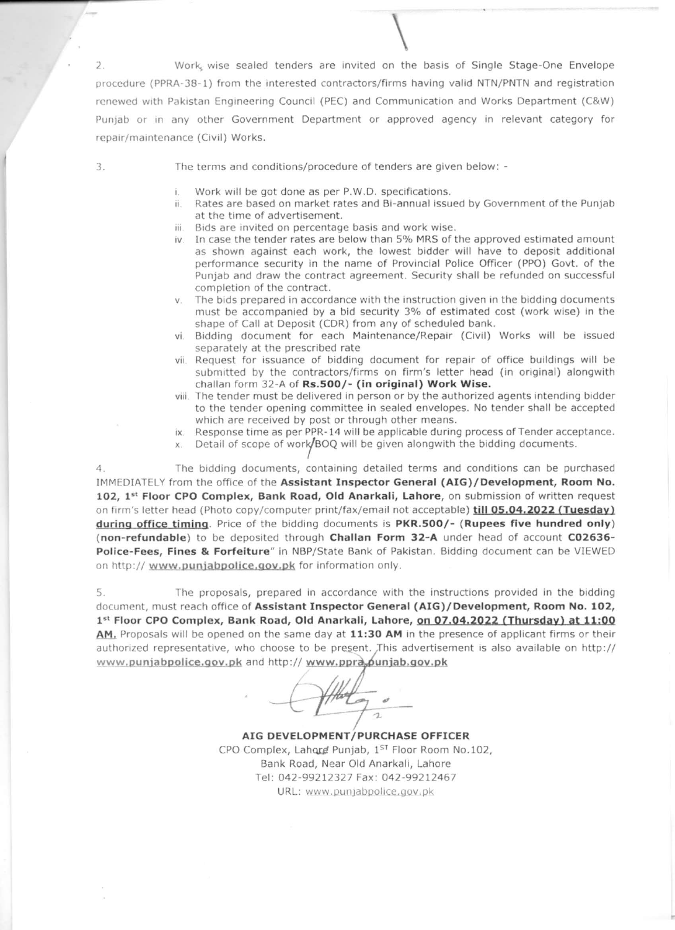Work, wise sealed tenders are invited on the basis of Single Stage-One Envelope  $2.$ procedure (PPRA-38-1) from the interested contractors/firms having valid NTN/PNTN and registration renewed with Pakistan Engineering Council (PEC) and Communication and Works Department (C&W) Punjab or in any other Government Department or approved agency in relevant category for repair/maintenance (Civil) Works.

3.

The terms and conditions/procedure of tenders are given below: -

- Work will be got done as per P.W.D. specifications. î.
- Rates are based on market rates and Bi-annual issued by Government of the Punjab ii. at the time of advertisement.
- iii. Bids are invited on percentage basis and work wise.
- iv. In case the tender rates are below than 5% MRS of the approved estimated amount as shown against each work, the lowest bidder will have to deposit additional performance security in the name of Provincial Police Officer (PPO) Govt. of the Punjab and draw the contract agreement. Security shall be refunded on successful completion of the contract.
- The bids prepared in accordance with the instruction given in the bidding documents V. must be accompanied by a bid security 3% of estimated cost (work wise) in the shape of Call at Deposit (CDR) from any of scheduled bank.
- vi. Bidding document for each Maintenance/Repair (Civil) Works will be issued separately at the prescribed rate
- vii. Request for issuance of bidding document for repair of office buildings will be submitted by the contractors/firms on firm's letter head (in original) alongwith challan form 32-A of Rs.500/- (in original) Work Wise.
- viii. The tender must be delivered in person or by the authorized agents intending bidder to the tender opening committee in sealed envelopes. No tender shall be accepted which are received by post or through other means.
- ix. Response time as per PPR-14 will be applicable during process of Tender acceptance.
- Detail of scope of work/BOQ will be given alongwith the bidding documents.

The bidding documents, containing detailed terms and conditions can be purchased 4 IMMEDIATELY from the office of the Assistant Inspector General (AIG)/Development, Room No. 102, 1st Floor CPO Complex, Bank Road, Old Anarkali, Lahore, on submission of written request on firm's letter head (Photo copy/computer print/fax/email not acceptable) till 05.04.2022 (Tuesday) during office timing. Price of the bidding documents is PKR.500/- (Rupees five hundred only) (non-refundable) to be deposited through Challan Form 32-A under head of account C02636-Police-Fees, Fines & Forfeiture" in NBP/State Bank of Pakistan. Bidding document can be VIEWED on http:// www.punjabpolice.gov.pk for information only.

The proposals, prepared in accordance with the instructions provided in the bidding 5 document, must reach office of Assistant Inspector General (AIG)/Development, Room No. 102, 1st Floor CPO Complex, Bank Road, Old Anarkali, Lahore, on 07.04.2022 (Thursday) at 11:00 AM, Proposals will be opened on the same day at 11:30 AM in the presence of applicant firms or their authorized representative, who choose to be present. This advertisement is also available on http:// www.punjabpolice.gov.pk and http://www.ppra.punjab.gov.pk

 $\rightarrow$ 

AIG DEVELOPMENT/PURCHASE OFFICER CPO Complex, Lahord Punjab, 1ST Floor Room No.102, Bank Road, Near Old Anarkali, Lahore Tel: 042-99212327 Fax: 042-99212467 URL: www.punjabpolice.gov.pk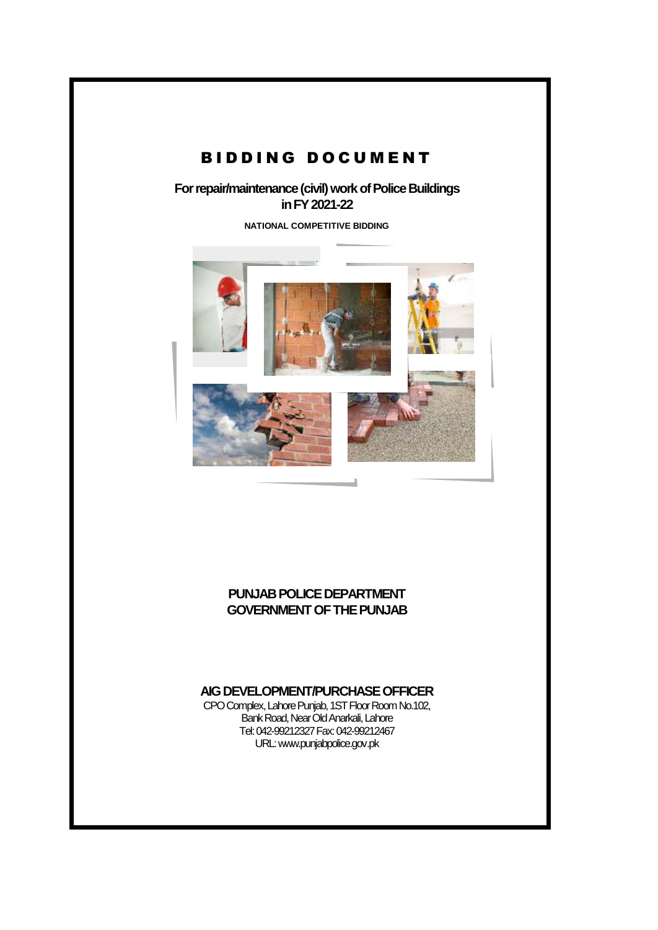# BIDDING DOCUMENT

**For repair/maintenance (civil) work of Police Buildings in FY 2021-22**

**NATIONAL COMPETITIVE BIDDING**



#### **PUNJAB POLICE DEPARTMENT GOVERNMENT OF THE PUNJAB**

#### **AIG DEVELOPMENT/PURCHASE OFFICER**

CPO Complex, Lahore Punjab, 1ST Floor Room No.102, Bank Road, Near Old Anarkali, Lahore Tel: 042-99212327 Fax: 042-99212467 URL[: www.punjabpolice.gov.pk](http://www.punjabpolice.gov.pk/)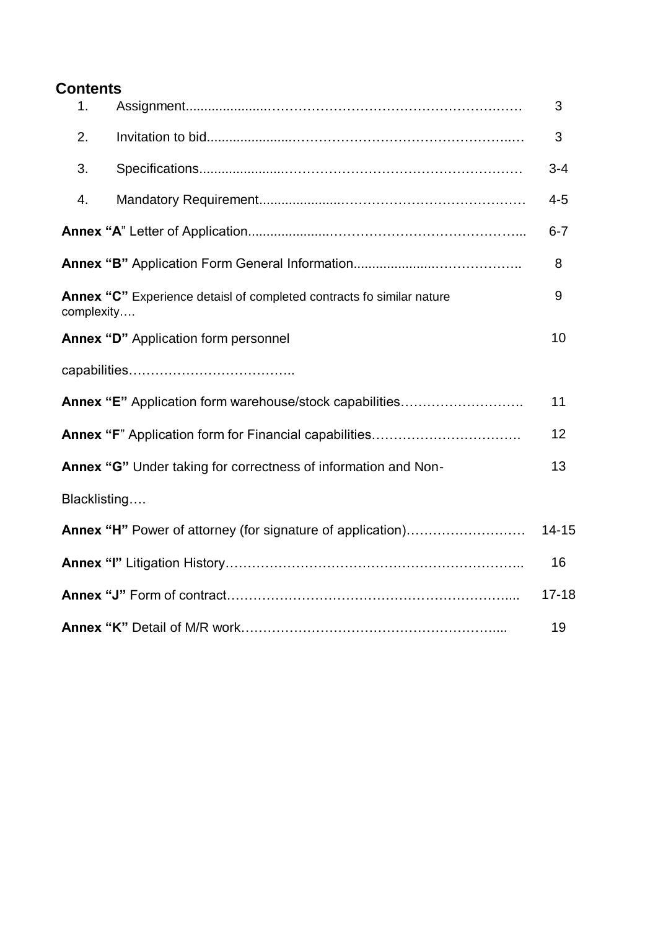# **Contents**

| 1.                                          |                                                                       | 3         |
|---------------------------------------------|-----------------------------------------------------------------------|-----------|
| 2.                                          |                                                                       | 3         |
| 3.                                          |                                                                       | $3 - 4$   |
| 4.                                          |                                                                       | $4 - 5$   |
|                                             |                                                                       | $6 - 7$   |
|                                             |                                                                       | 8         |
| complexity                                  | Annex "C" Experience detaisl of completed contracts fo similar nature | 9         |
| <b>Annex "D"</b> Application form personnel |                                                                       | 10        |
|                                             |                                                                       |           |
|                                             | Annex "E" Application form warehouse/stock capabilities               | 11        |
|                                             |                                                                       | 12        |
|                                             | Annex "G" Under taking for correctness of information and Non-        | 13        |
| Blacklisting                                |                                                                       |           |
|                                             | Annex "H" Power of attorney (for signature of application)            | $14 - 15$ |
|                                             |                                                                       | 16        |
|                                             |                                                                       | $17 - 18$ |
|                                             |                                                                       | 19        |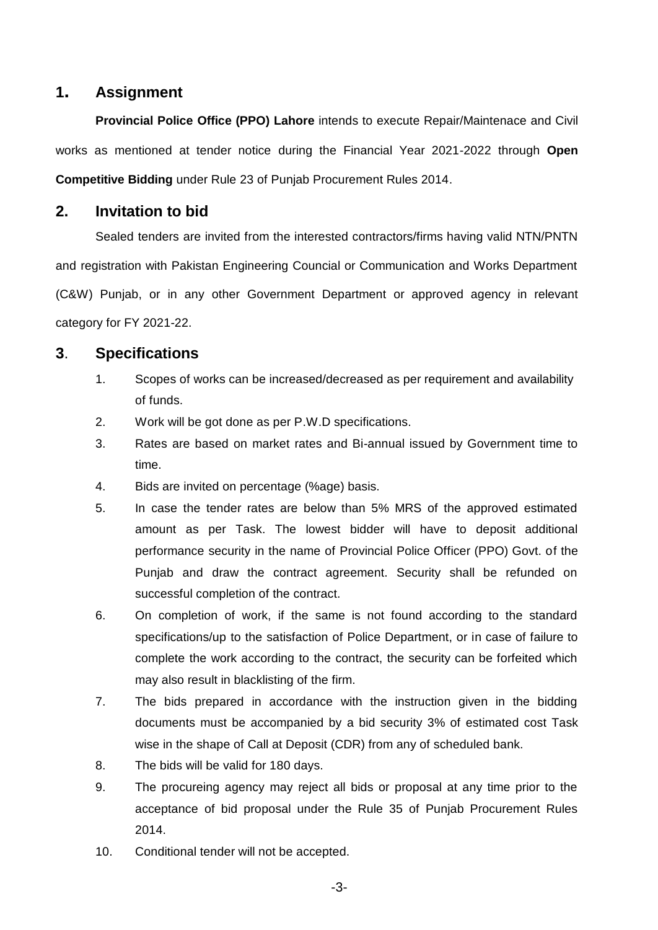### **1. Assignment**

**Provincial Police Office (PPO) Lahore** intends to execute Repair/Maintenace and Civil works as mentioned at tender notice during the Financial Year 2021-2022 through **Open Competitive Bidding** under Rule 23 of Punjab Procurement Rules 2014.

### **2. Invitation to bid**

Sealed tenders are invited from the interested contractors/firms having valid NTN/PNTN and registration with Pakistan Engineering Councial or Communication and Works Department (C&W) Punjab, or in any other Government Department or approved agency in relevant category for FY 2021-22.

### **3**. **Specifications**

- 1. Scopes of works can be increased/decreased as per requirement and availability of funds.
- 2. Work will be got done as per P.W.D specifications.
- 3. Rates are based on market rates and Bi-annual issued by Government time to time.
- 4. Bids are invited on percentage (%age) basis.
- 5. In case the tender rates are below than 5% MRS of the approved estimated amount as per Task. The lowest bidder will have to deposit additional performance security in the name of Provincial Police Officer (PPO) Govt. of the Punjab and draw the contract agreement. Security shall be refunded on successful completion of the contract.
- 6. On completion of work, if the same is not found according to the standard specifications/up to the satisfaction of Police Department, or in case of failure to complete the work according to the contract, the security can be forfeited which may also result in blacklisting of the firm.
- 7. The bids prepared in accordance with the instruction given in the bidding documents must be accompanied by a bid security 3% of estimated cost Task wise in the shape of Call at Deposit (CDR) from any of scheduled bank.
- 8. The bids will be valid for 180 days.
- 9. The procureing agency may reject all bids or proposal at any time prior to the acceptance of bid proposal under the Rule 35 of Punjab Procurement Rules 2014.
- 10. Conditional tender will not be accepted.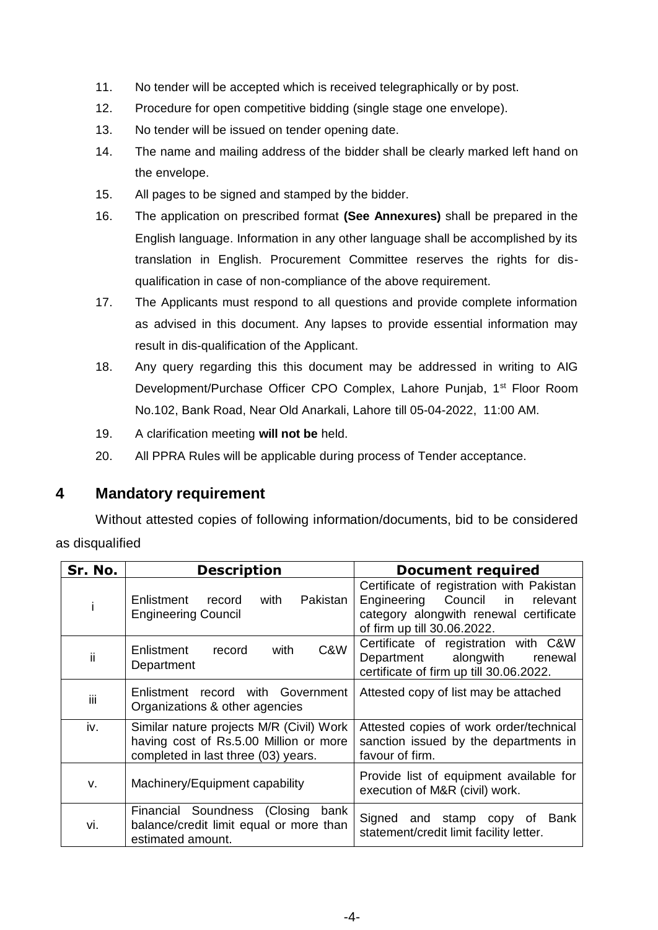- 11. No tender will be accepted which is received telegraphically or by post.
- 12. Procedure for open competitive bidding (single stage one envelope).
- 13. No tender will be issued on tender opening date.
- 14. The name and mailing address of the bidder shall be clearly marked left hand on the envelope.
- 15. All pages to be signed and stamped by the bidder.
- 16. The application on prescribed format **(See Annexures)** shall be prepared in the English language. Information in any other language shall be accomplished by its translation in English. Procurement Committee reserves the rights for disqualification in case of non-compliance of the above requirement.
- 17. The Applicants must respond to all questions and provide complete information as advised in this document. Any lapses to provide essential information may result in dis-qualification of the Applicant.
- 18. Any query regarding this this document may be addressed in writing to AIG Development/Purchase Officer CPO Complex, Lahore Punjab, 1<sup>st</sup> Floor Room No.102, Bank Road, Near Old Anarkali, Lahore till 05-04-2022, 11:00 AM.
- 19. A clarification meeting **will not be** held.
- 20. All PPRA Rules will be applicable during process of Tender acceptance.

### **4 Mandatory requirement**

Without attested copies of following information/documents, bid to be considered as disqualified

| Sr. No. | <b>Description</b>                                                                                                        | <b>Document required</b>                                                                                                                                    |
|---------|---------------------------------------------------------------------------------------------------------------------------|-------------------------------------------------------------------------------------------------------------------------------------------------------------|
|         | Pakistan<br>with<br>Enlistment record<br><b>Engineering Council</b>                                                       | Certificate of registration with Pakistan<br>Engineering Council<br>in<br>relevant<br>category alongwith renewal certificate<br>of firm up till 30.06.2022. |
| ii      | C&W<br>with<br>Enlistment<br>record<br>Department                                                                         | Certificate of registration with C&W<br>Department alongwith<br>renewal<br>certificate of firm up till 30.06.2022.                                          |
| iii     | record with Government<br>Enlistment<br>Organizations & other agencies                                                    | Attested copy of list may be attached                                                                                                                       |
| iv.     | Similar nature projects M/R (Civil) Work<br>having cost of Rs.5.00 Million or more<br>completed in last three (03) years. | Attested copies of work order/technical<br>sanction issued by the departments in<br>favour of firm.                                                         |
| v.      | Machinery/Equipment capability                                                                                            | Provide list of equipment available for<br>execution of M&R (civil) work.                                                                                   |
| vi.     | Financial Soundness (Closing<br>bank<br>balance/credit limit equal or more than<br>estimated amount.                      | Signed and stamp copy of<br>Bank<br>statement/credit limit facility letter.                                                                                 |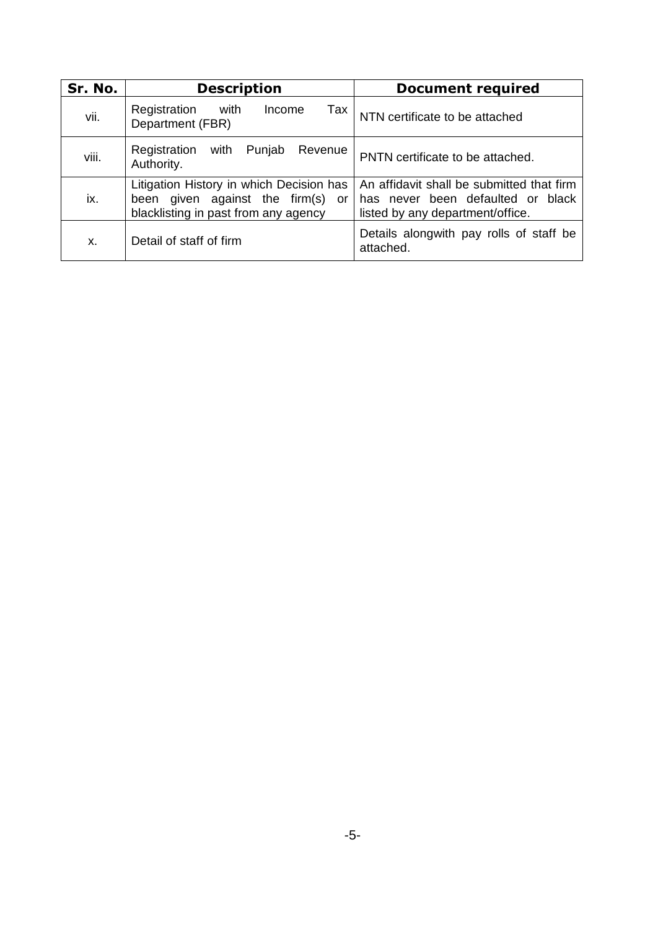| Sr. No. | <b>Description</b>                                                                                                    | <b>Document required</b>                                                                                           |
|---------|-----------------------------------------------------------------------------------------------------------------------|--------------------------------------------------------------------------------------------------------------------|
| vii.    | Registration<br>with<br>Income<br>Tax<br>Department (FBR)                                                             | NTN certificate to be attached                                                                                     |
| viii.   | Registration<br>with<br>Punjab<br>Revenue<br>Authority.                                                               | PNTN certificate to be attached.                                                                                   |
| ix.     | Litigation History in which Decision has<br>been given against the firm(s) or<br>blacklisting in past from any agency | An affidavit shall be submitted that firm<br>has never been defaulted or black<br>listed by any department/office. |
| X.      | Detail of staff of firm                                                                                               | Details alongwith pay rolls of staff be<br>attached.                                                               |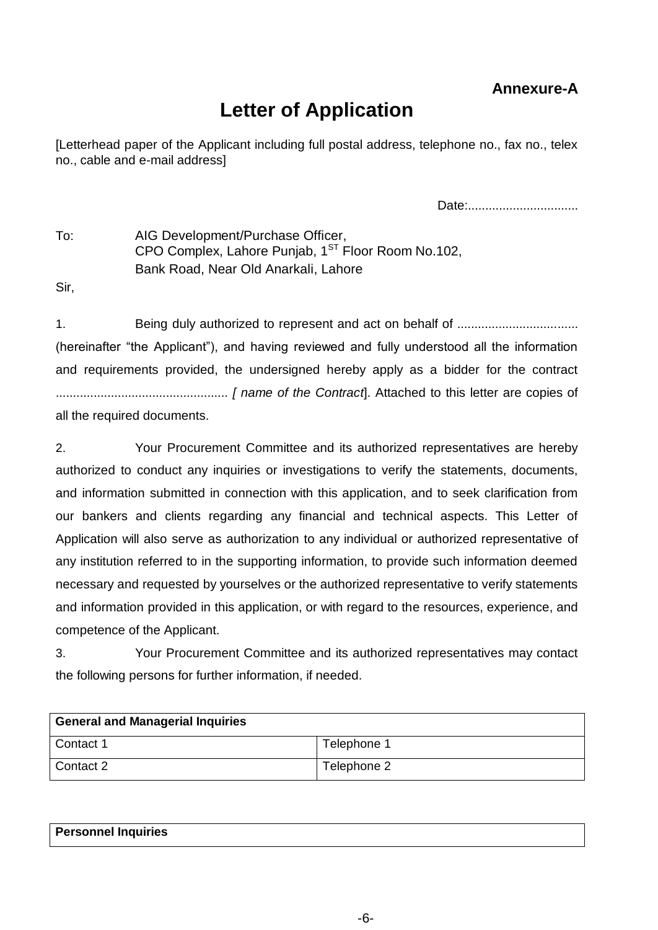# **Annexure-A**

# **Letter of Application**

[Letterhead paper of the Applicant including full postal address, telephone no., fax no., telex no., cable and e-mail address]

Date:................................

To: AIG Development/Purchase Officer, CPO Complex, Lahore Punjab,  $1<sup>ST</sup>$  Floor Room No.102, Bank Road, Near Old Anarkali, Lahore

Sir,

1. Being duly authorized to represent and act on behalf of ................................... (hereinafter "the Applicant"), and having reviewed and fully understood all the information and requirements provided, the undersigned hereby apply as a bidder for the contract .................................................. *[ name of the Contract*]. Attached to this letter are copies of all the required documents.

2. Your Procurement Committee and its authorized representatives are hereby authorized to conduct any inquiries or investigations to verify the statements, documents, and information submitted in connection with this application, and to seek clarification from our bankers and clients regarding any financial and technical aspects. This Letter of Application will also serve as authorization to any individual or authorized representative of any institution referred to in the supporting information, to provide such information deemed necessary and requested by yourselves or the authorized representative to verify statements and information provided in this application, or with regard to the resources, experience, and competence of the Applicant.

3. Your Procurement Committee and its authorized representatives may contact the following persons for further information, if needed.

| <b>General and Managerial Inquiries</b> |             |  |
|-----------------------------------------|-------------|--|
| Contact 1                               | Telephone 1 |  |
| Contact 2                               | Telephone 2 |  |

| <b>Personnel Inquiries</b> |  |  |
|----------------------------|--|--|
|                            |  |  |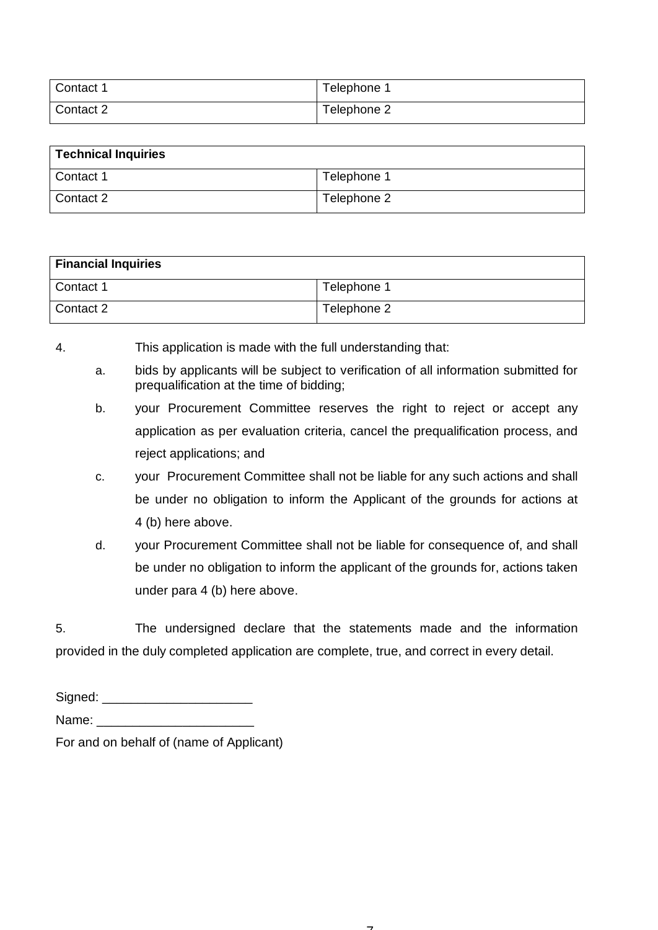| Contact 1 | Telephone:  |
|-----------|-------------|
| Contact 2 | Telephone 2 |

| <b>Technical Inquiries</b> |             |  |
|----------------------------|-------------|--|
| Contact 1                  | Telephone 1 |  |
| Contact 2                  | Telephone 2 |  |

| <b>Financial Inquiries</b> |             |  |
|----------------------------|-------------|--|
| Contact 1                  | Telephone 1 |  |
| Contact 2                  | Telephone 2 |  |

- 4. This application is made with the full understanding that:
	- a. bids by applicants will be subject to verification of all information submitted for prequalification at the time of bidding;
	- b. your Procurement Committee reserves the right to reject or accept any application as per evaluation criteria, cancel the prequalification process, and reject applications; and
	- c. your Procurement Committee shall not be liable for any such actions and shall be under no obligation to inform the Applicant of the grounds for actions at 4 (b) here above.
	- d. your Procurement Committee shall not be liable for consequence of, and shall be under no obligation to inform the applicant of the grounds for, actions taken under para 4 (b) here above.

5. The undersigned declare that the statements made and the information provided in the duly completed application are complete, true, and correct in every detail.

| Signed: |
|---------|
|---------|

Name:

For and on behalf of (name of Applicant)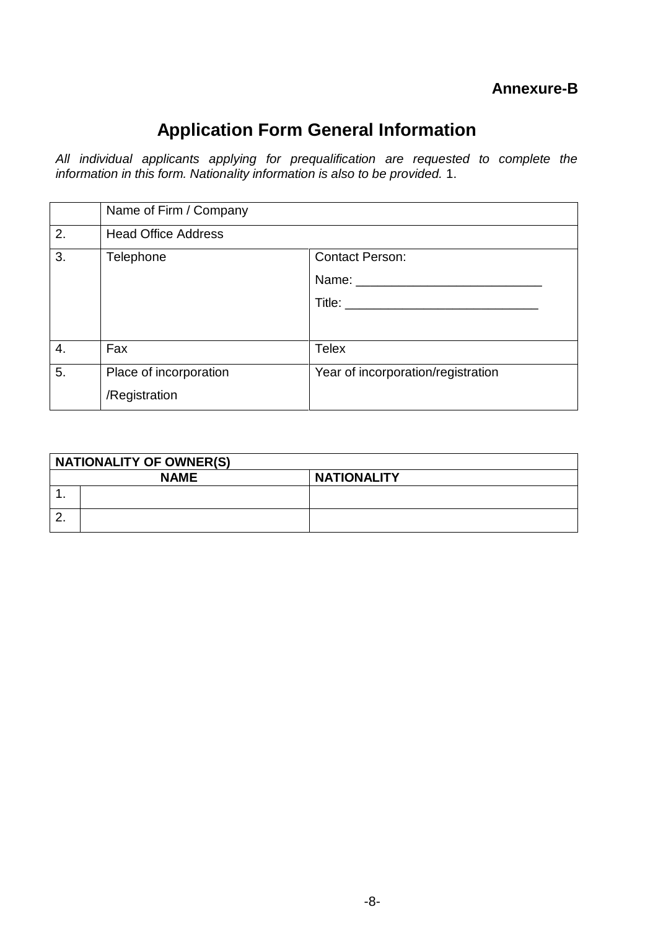# **Application Form General Information**

*All individual applicants applying for prequalification are requested to complete the information in this form. Nationality information is also to be provided.* 1.

|    | Name of Firm / Company                  |                                    |
|----|-----------------------------------------|------------------------------------|
| 2. | <b>Head Office Address</b>              |                                    |
| 3. | Telephone                               | <b>Contact Person:</b><br>Name:    |
| 4. | Fax                                     | <b>Telex</b>                       |
| 5. | Place of incorporation<br>/Registration | Year of incorporation/registration |

|          | <b>NATIONALITY OF OWNER(S)</b> |                    |  |
|----------|--------------------------------|--------------------|--|
|          | <b>NAME</b>                    | <b>NATIONALITY</b> |  |
| . .      |                                |                    |  |
| <u>.</u> |                                |                    |  |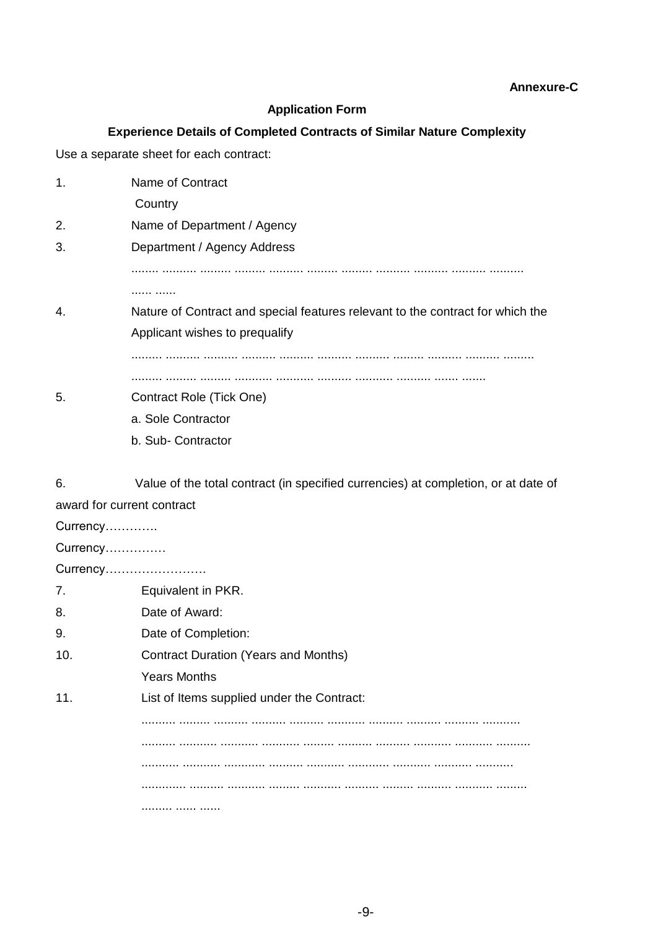#### **Annexure-C**

#### **Application Form**

#### **Experience Details of Completed Contracts of Similar Nature Complexity**

Use a separate sheet for each contract:

| 1. | Name of Contract                                                               |
|----|--------------------------------------------------------------------------------|
|    | Country                                                                        |
| 2. | Name of Department / Agency                                                    |
| 3. | Department / Agency Address                                                    |
|    |                                                                                |
|    | .                                                                              |
| 4. | Nature of Contract and special features relevant to the contract for which the |
|    | Applicant wishes to prequalify                                                 |
|    |                                                                                |
|    |                                                                                |
| 5. | Contract Role (Tick One)                                                       |
|    | a. Sole Contractor                                                             |
|    | b. Sub-Contractor                                                              |
|    |                                                                                |

6. Value of the total contract (in specified currencies) at completion, or at date of award for current contract

Currency…………. Currency…………… Currency……………………. 7. Equivalent in PKR. 8. Date of Award: 9. Date of Completion: 10. Contract Duration (Years and Months) Years Months 11. List of Items supplied under the Contract: .......... ......... .......... .......... .......... ........... .......... .......... .......... ........... .......... ........... ........... ........... ......... .......... .......... ........... ........... .......... ........... ........... ............ .......... ........... ............ ........... ........... ........... ............. .......... ........... ......... ........... .......... ......... .......... ........... ......... ......... ...... ......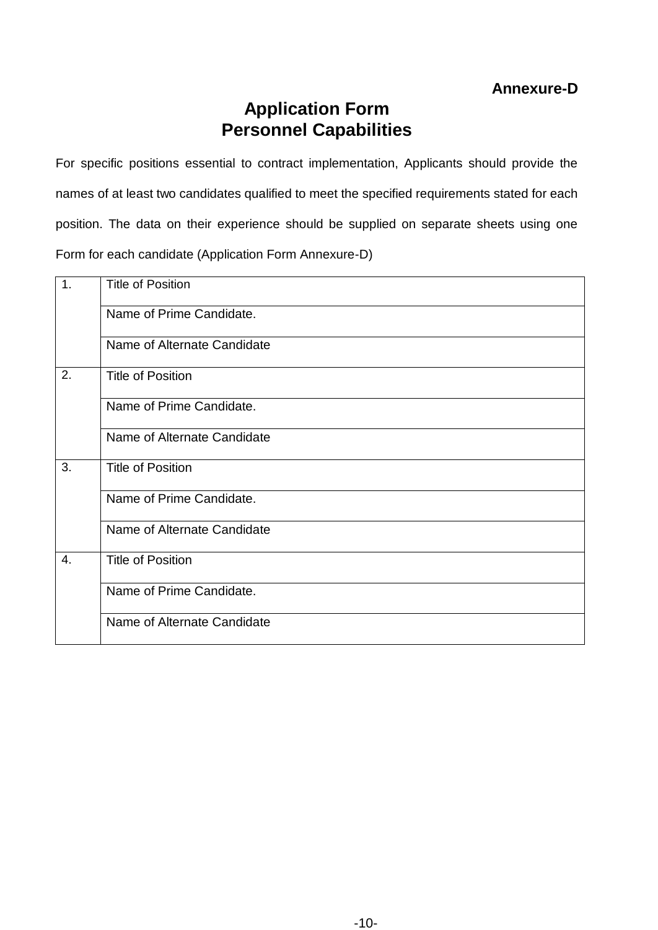# **Annexure-D**

# **Application Form Personnel Capabilities**

For specific positions essential to contract implementation, Applicants should provide the names of at least two candidates qualified to meet the specified requirements stated for each position. The data on their experience should be supplied on separate sheets using one Form for each candidate (Application Form Annexure-D)

| 1. | <b>Title of Position</b>    |
|----|-----------------------------|
|    | Name of Prime Candidate.    |
|    | Name of Alternate Candidate |
| 2. | <b>Title of Position</b>    |
|    | Name of Prime Candidate.    |
|    | Name of Alternate Candidate |
| 3. | <b>Title of Position</b>    |
|    | Name of Prime Candidate.    |
|    | Name of Alternate Candidate |
| 4. | <b>Title of Position</b>    |
|    | Name of Prime Candidate.    |
|    | Name of Alternate Candidate |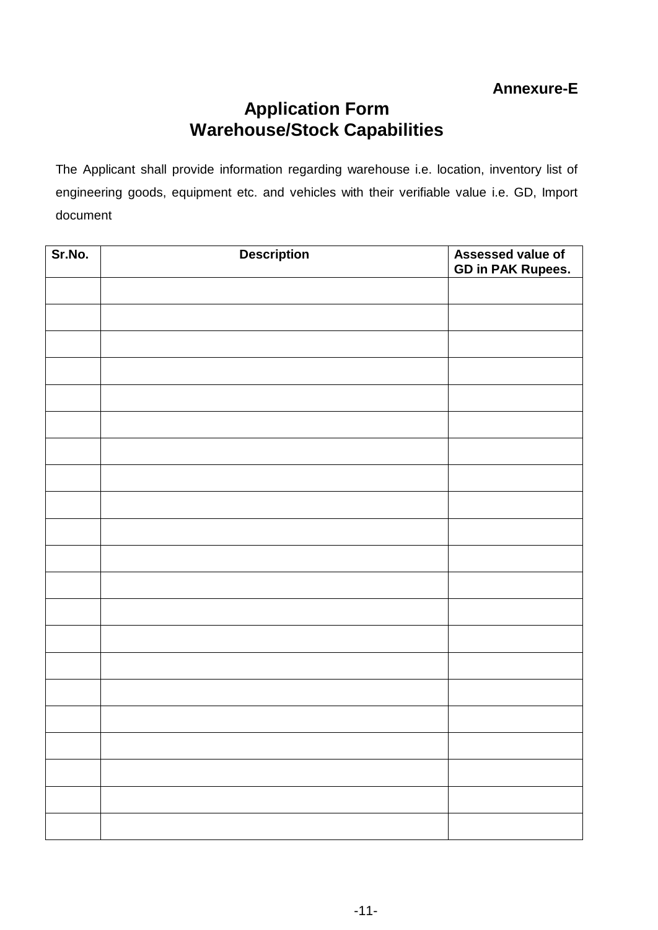# **Annexure-E**

# **Application Form Warehouse/Stock Capabilities**

The Applicant shall provide information regarding warehouse i.e. location, inventory list of engineering goods, equipment etc. and vehicles with their verifiable value i.e. GD, Import document

| Sr.No. | <b>Description</b> | Assessed value of<br><b>GD in PAK Rupees.</b> |
|--------|--------------------|-----------------------------------------------|
|        |                    |                                               |
|        |                    |                                               |
|        |                    |                                               |
|        |                    |                                               |
|        |                    |                                               |
|        |                    |                                               |
|        |                    |                                               |
|        |                    |                                               |
|        |                    |                                               |
|        |                    |                                               |
|        |                    |                                               |
|        |                    |                                               |
|        |                    |                                               |
|        |                    |                                               |
|        |                    |                                               |
|        |                    |                                               |
|        |                    |                                               |
|        |                    |                                               |
|        |                    |                                               |
|        |                    |                                               |
|        |                    |                                               |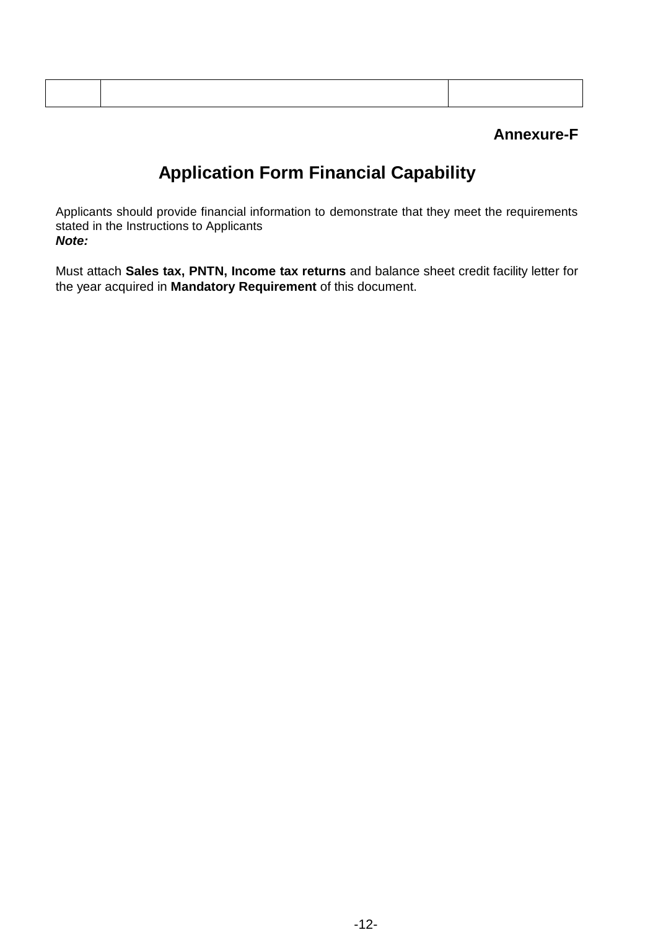## **Annexure-F**

# **Application Form Financial Capability**

Applicants should provide financial information to demonstrate that they meet the requirements stated in the Instructions to Applicants *Note:* 

Must attach **Sales tax, PNTN, Income tax returns** and balance sheet credit facility letter for the year acquired in **Mandatory Requirement** of this document.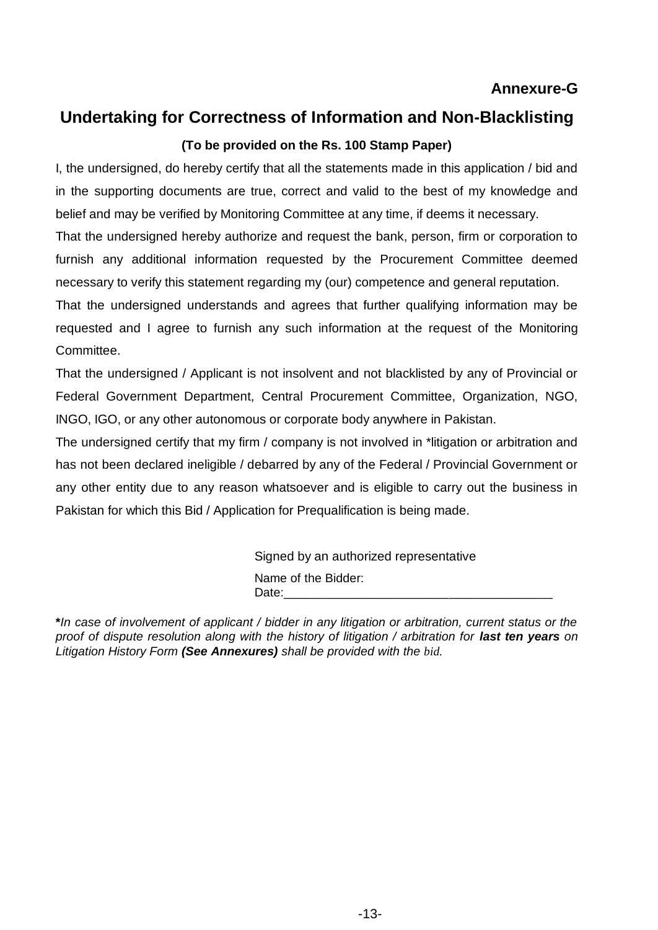### **Annexure-G**

# **Undertaking for Correctness of Information and Non-Blacklisting**

### **(To be provided on the Rs. 100 Stamp Paper)**

I, the undersigned, do hereby certify that all the statements made in this application / bid and in the supporting documents are true, correct and valid to the best of my knowledge and belief and may be verified by Monitoring Committee at any time, if deems it necessary.

That the undersigned hereby authorize and request the bank, person, firm or corporation to furnish any additional information requested by the Procurement Committee deemed necessary to verify this statement regarding my (our) competence and general reputation.

That the undersigned understands and agrees that further qualifying information may be requested and I agree to furnish any such information at the request of the Monitoring Committee.

That the undersigned / Applicant is not insolvent and not blacklisted by any of Provincial or Federal Government Department, Central Procurement Committee, Organization, NGO, INGO, IGO, or any other autonomous or corporate body anywhere in Pakistan.

The undersigned certify that my firm / company is not involved in \*litigation or arbitration and has not been declared ineligible / debarred by any of the Federal / Provincial Government or any other entity due to any reason whatsoever and is eligible to carry out the business in Pakistan for which this Bid / Application for Prequalification is being made.

> Signed by an authorized representative Name of the Bidder: Date:\_\_\_\_\_\_\_\_\_\_\_\_\_\_\_\_\_\_\_\_\_\_\_\_\_\_\_\_\_\_\_\_\_\_\_\_\_\_\_

**\****In case of involvement of applicant / bidder in any litigation or arbitration, current status or the proof of dispute resolution along with the history of litigation / arbitration for last ten years on Litigation History Form (See Annexures) shall be provided with the bid.*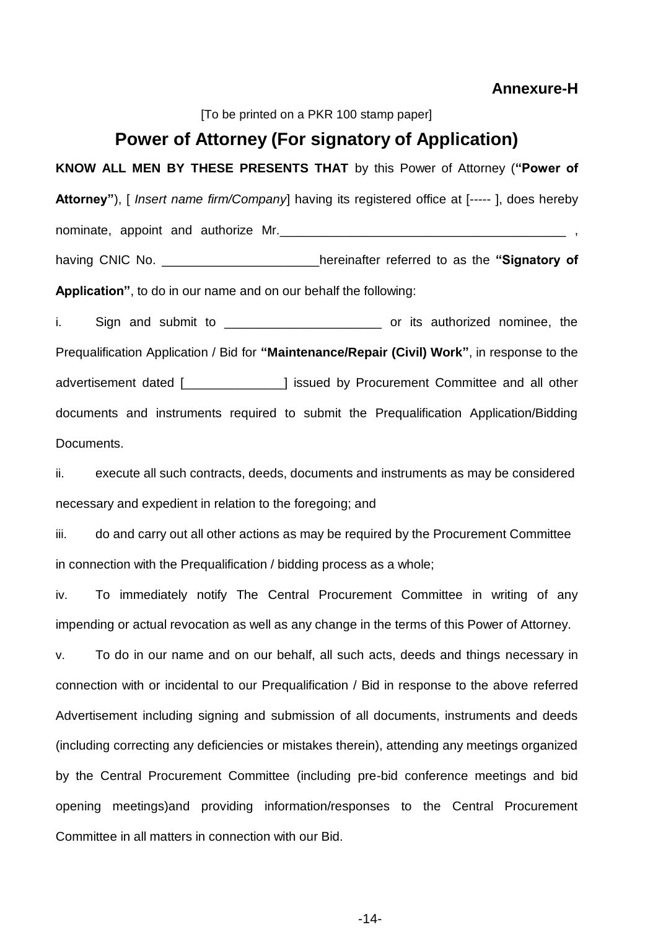#### **Annexure-H**

[To be printed on a PKR 100 stamp paper]

## **Power of Attorney (For signatory of Application)**

**KNOW ALL MEN BY THESE PRESENTS THAT** by this Power of Attorney (**"Power of Attorney"**), [ *Insert name firm/Company*] having its registered office at [----- ], does hereby nominate, appoint and authorize Mr. having CNIC No. \_\_\_\_\_\_\_\_\_\_\_\_\_\_\_\_\_\_\_\_\_\_hereinafter referred to as the **"Signatory of** 

**Application"**, to do in our name and on our behalf the following:

i. Sign and submit to **we are set all the submit of the submit submit to** or its authorized nominee, the Prequalification Application / Bid for **"Maintenance/Repair (Civil) Work"**, in response to the advertisement dated [\_\_\_\_\_\_\_\_\_\_\_\_\_\_] issued by Procurement Committee and all other documents and instruments required to submit the Prequalification Application/Bidding Documents.

ii. execute all such contracts, deeds, documents and instruments as may be considered necessary and expedient in relation to the foregoing; and

iii. do and carry out all other actions as may be required by the Procurement Committee in connection with the Prequalification / bidding process as a whole;

iv. To immediately notify The Central Procurement Committee in writing of any impending or actual revocation as well as any change in the terms of this Power of Attorney.

v. To do in our name and on our behalf, all such acts, deeds and things necessary in connection with or incidental to our Prequalification / Bid in response to the above referred Advertisement including signing and submission of all documents, instruments and deeds (including correcting any deficiencies or mistakes therein), attending any meetings organized by the Central Procurement Committee (including pre-bid conference meetings and bid opening meetings)and providing information/responses to the Central Procurement Committee in all matters in connection with our Bid.

-14-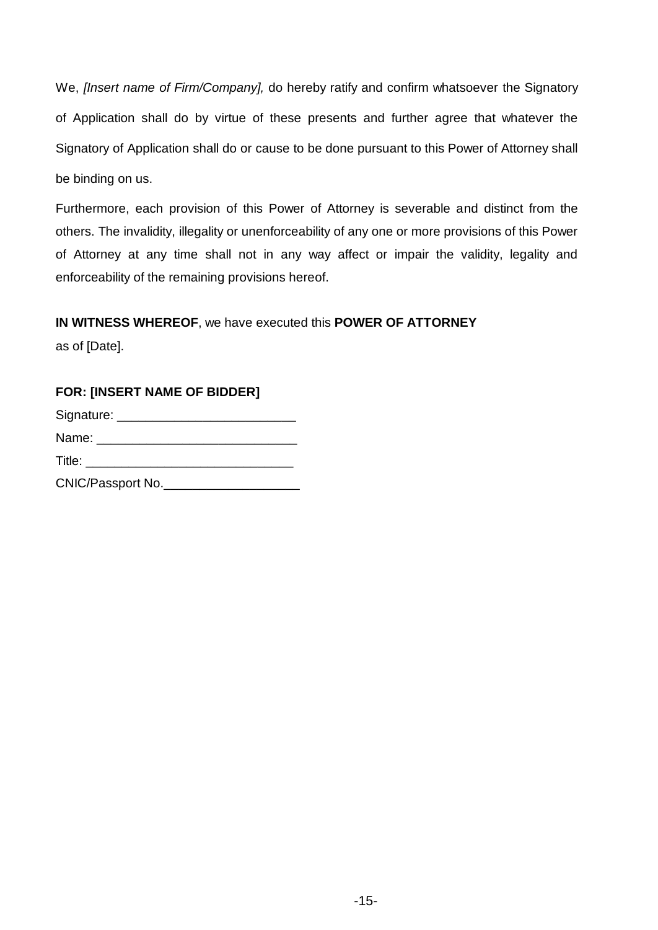We, *[Insert name of Firm/Company],* do hereby ratify and confirm whatsoever the Signatory of Application shall do by virtue of these presents and further agree that whatever the Signatory of Application shall do or cause to be done pursuant to this Power of Attorney shall be binding on us.

Furthermore, each provision of this Power of Attorney is severable and distinct from the others. The invalidity, illegality or unenforceability of any one or more provisions of this Power of Attorney at any time shall not in any way affect or impair the validity, legality and enforceability of the remaining provisions hereof.

### **IN WITNESS WHEREOF**, we have executed this **POWER OF ATTORNEY**

as of [Date].

# **FOR: [INSERT NAME OF BIDDER]**  Signature: \_\_\_\_\_\_\_\_\_\_\_\_\_\_\_\_\_\_\_\_\_\_\_\_\_ Name: \_\_\_\_\_\_\_\_\_\_\_\_\_\_\_\_\_\_\_\_\_\_\_\_\_\_\_\_ Title: CNIC/Passport No.\_\_\_\_\_\_\_\_\_\_\_\_\_\_\_\_\_\_\_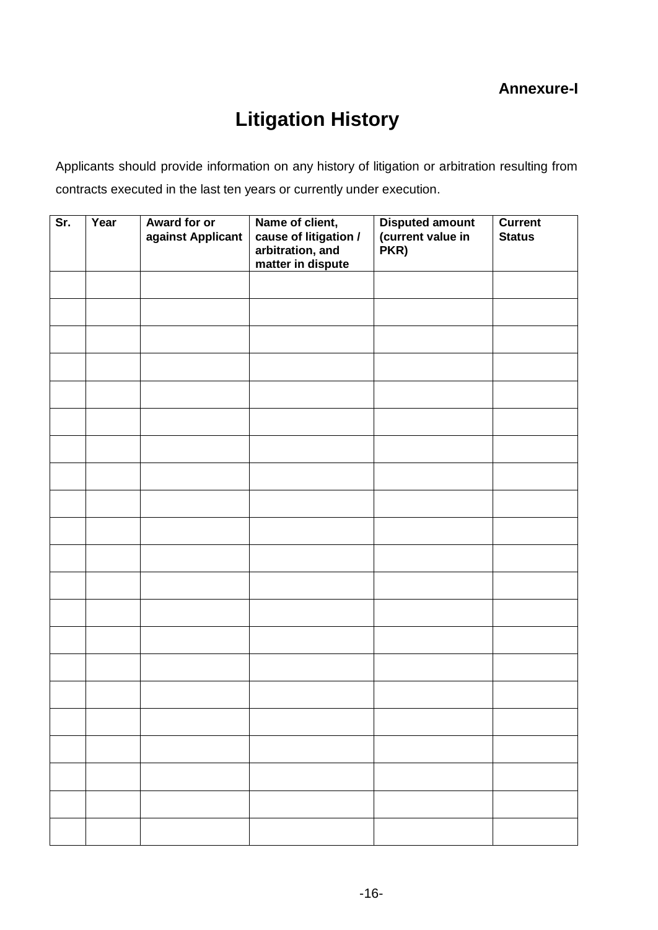# **Litigation History**

Applicants should provide information on any history of litigation or arbitration resulting from contracts executed in the last ten years or currently under execution.

| Sr. | Year | <b>Award for or</b><br>against Applicant | Name of client,<br>cause of litigation /<br>arbitration, and<br>matter in dispute | <b>Disputed amount</b><br>(current value in<br>PKR) | <b>Current</b><br><b>Status</b> |
|-----|------|------------------------------------------|-----------------------------------------------------------------------------------|-----------------------------------------------------|---------------------------------|
|     |      |                                          |                                                                                   |                                                     |                                 |
|     |      |                                          |                                                                                   |                                                     |                                 |
|     |      |                                          |                                                                                   |                                                     |                                 |
|     |      |                                          |                                                                                   |                                                     |                                 |
|     |      |                                          |                                                                                   |                                                     |                                 |
|     |      |                                          |                                                                                   |                                                     |                                 |
|     |      |                                          |                                                                                   |                                                     |                                 |
|     |      |                                          |                                                                                   |                                                     |                                 |
|     |      |                                          |                                                                                   |                                                     |                                 |
|     |      |                                          |                                                                                   |                                                     |                                 |
|     |      |                                          |                                                                                   |                                                     |                                 |
|     |      |                                          |                                                                                   |                                                     |                                 |
|     |      |                                          |                                                                                   |                                                     |                                 |
|     |      |                                          |                                                                                   |                                                     |                                 |
|     |      |                                          |                                                                                   |                                                     |                                 |
|     |      |                                          |                                                                                   |                                                     |                                 |
|     |      |                                          |                                                                                   |                                                     |                                 |
|     |      |                                          |                                                                                   |                                                     |                                 |
|     |      |                                          |                                                                                   |                                                     |                                 |
|     |      |                                          |                                                                                   |                                                     |                                 |
|     |      |                                          |                                                                                   |                                                     |                                 |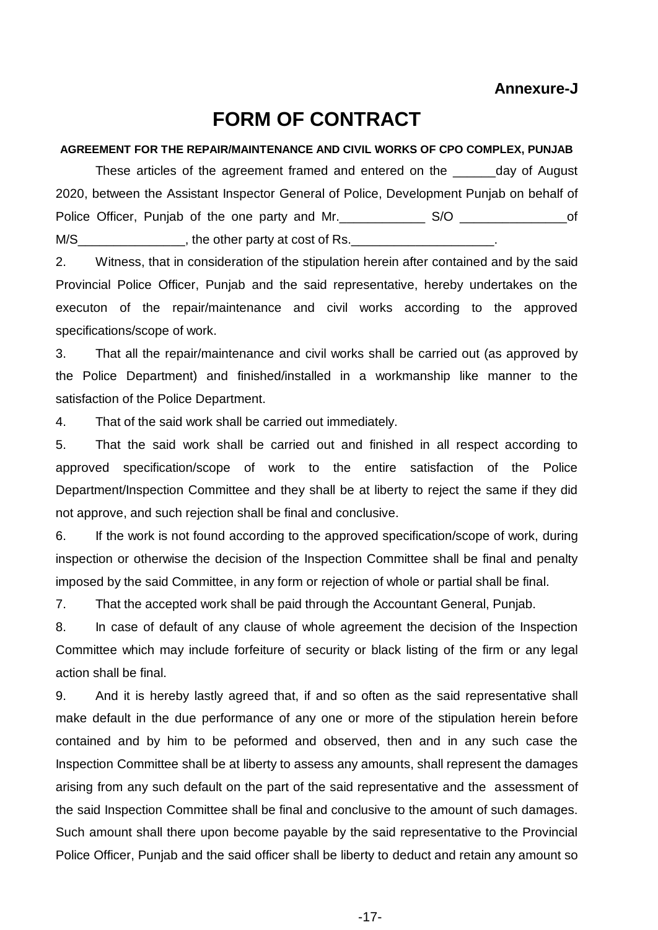# **FORM OF CONTRACT**

#### **AGREEMENT FOR THE REPAIR/MAINTENANCE AND CIVIL WORKS OF CPO COMPLEX, PUNJAB**

These articles of the agreement framed and entered on the \_\_\_\_\_\_day of August 2020, between the Assistant Inspector General of Police, Development Punjab on behalf of Police Officer, Punjab of the one party and Mr. \_\_\_\_\_\_\_\_\_\_\_\_\_\_ S/O \_\_\_\_\_\_\_\_\_\_\_\_\_\_\_\_\_\_of M/S\_\_\_\_\_\_\_\_\_\_\_\_\_\_\_, the other party at cost of Rs.\_\_\_\_\_\_\_\_\_\_\_\_\_\_\_\_\_\_\_\_.

2. Witness, that in consideration of the stipulation herein after contained and by the said Provincial Police Officer, Punjab and the said representative, hereby undertakes on the executon of the repair/maintenance and civil works according to the approved specifications/scope of work.

3. That all the repair/maintenance and civil works shall be carried out (as approved by the Police Department) and finished/installed in a workmanship like manner to the satisfaction of the Police Department.

4. That of the said work shall be carried out immediately.

5. That the said work shall be carried out and finished in all respect according to approved specification/scope of work to the entire satisfaction of the Police Department/Inspection Committee and they shall be at liberty to reject the same if they did not approve, and such rejection shall be final and conclusive.

6. If the work is not found according to the approved specification/scope of work, during inspection or otherwise the decision of the Inspection Committee shall be final and penalty imposed by the said Committee, in any form or rejection of whole or partial shall be final.

7. That the accepted work shall be paid through the Accountant General, Punjab.

8. In case of default of any clause of whole agreement the decision of the Inspection Committee which may include forfeiture of security or black listing of the firm or any legal action shall be final.

9. And it is hereby lastly agreed that, if and so often as the said representative shall make default in the due performance of any one or more of the stipulation herein before contained and by him to be peformed and observed, then and in any such case the Inspection Committee shall be at liberty to assess any amounts, shall represent the damages arising from any such default on the part of the said representative and the assessment of the said Inspection Committee shall be final and conclusive to the amount of such damages. Such amount shall there upon become payable by the said representative to the Provincial Police Officer, Punjab and the said officer shall be liberty to deduct and retain any amount so

-17-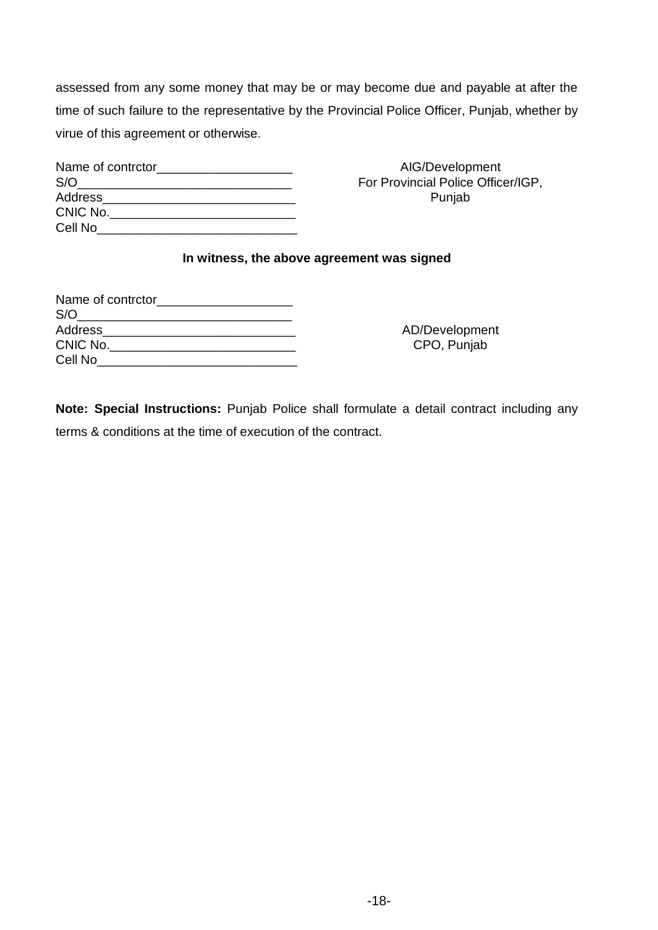assessed from any some money that may be or may become due and payable at after the time of such failure to the representative by the Provincial Police Officer, Punjab, whether by virue of this agreement or otherwise.

| Name of contrctor |
|-------------------|
| S/O               |
| Address           |
| CNIC No.          |
| Cell No           |

AIG/Development For Provincial Police Officer/IGP, Punjab

#### **In witness, the above agreement was signed**

| Name of contrctor |  |
|-------------------|--|
|                   |  |
| Address           |  |
| CNIC No.          |  |
| Cell No           |  |

AD/Development CPO, Punjab

**Note: Special Instructions:** Punjab Police shall formulate a detail contract including any terms & conditions at the time of execution of the contract.